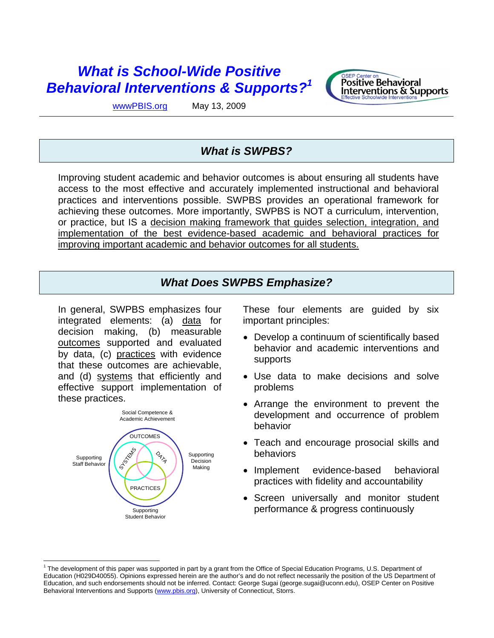# *What is School-Wide Positive Behavioral Interventions & Supports?1*



wwwPBIS.org May 13, 2009

## *What is SWPBS?*

Improving student academic and behavior outcomes is about ensuring all students have access to the most effective and accurately implemented instructional and behavioral practices and interventions possible. SWPBS provides an operational framework for achieving these outcomes. More importantly, SWPBS is NOT a curriculum, intervention, or practice, but IS a decision making framework that guides selection, integration, and implementation of the best evidence-based academic and behavioral practices for improving important academic and behavior outcomes for all students.

## *What Does SWPBS Emphasize?*

In general, SWPBS emphasizes four integrated elements: (a) data for decision making, (b) measurable outcomes supported and evaluated by data, (c) practices with evidence that these outcomes are achievable, and (d) systems that efficiently and effective support implementation of these practices.



These four elements are guided by six important principles:

- Develop a continuum of scientifically based behavior and academic interventions and supports
- Use data to make decisions and solve problems
- Arrange the environment to prevent the development and occurrence of problem behavior
- Teach and encourage prosocial skills and behaviors
- Implement evidence-based behavioral practices with fidelity and accountability
- Screen universally and monitor student performance & progress continuously

<sup>&</sup>lt;sup>1</sup> The development of this paper was supported in part by a grant from the Office of Special Education Programs, U.S. Department of Education (H029D40055). Opinions expressed herein are the author's and do not reflect necessarily the position of the US Department of Education, and such endorsements should not be inferred. Contact: George Sugai (george.sugai@uconn.edu), OSEP Center on Positive Behavioral Interventions and Supports (www.pbis.org), University of Connecticut, Storrs.